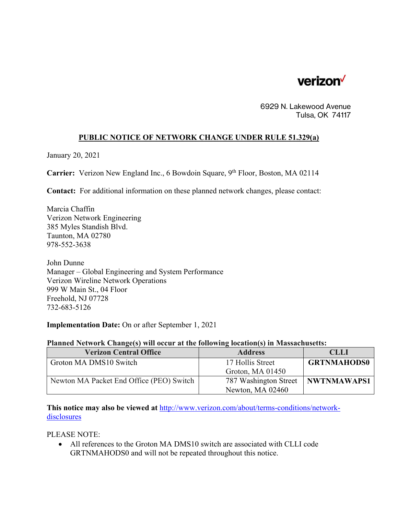

6929 N. Lakewood Avenue Tulsa, OK 74117

## **PUBLIC NOTICE OF NETWORK CHANGE UNDER RULE 51.329(a)**

January 20, 2021

**Carrier:** Verizon New England Inc., 6 Bowdoin Square, 9<sup>th</sup> Floor, Boston, MA 02114

**Contact:** For additional information on these planned network changes, please contact:

Marcia Chaffin Verizon Network Engineering 385 Myles Standish Blvd. Taunton, MA 02780 978-552-3638

John Dunne Manager – Global Engineering and System Performance Verizon Wireline Network Operations 999 W Main St., 04 Floor Freehold, NJ 07728 732-683-5126

**Implementation Date:** On or after September 1, 2021

## **Planned Network Change(s) will occur at the following location(s) in Massachusetts:**

| <b>Verizon Central Office</b>            | <b>Address</b>        | <b>CLLI</b>        |
|------------------------------------------|-----------------------|--------------------|
| Groton MA DMS10 Switch                   | 17 Hollis Street      | <b>GRTNMAHODS0</b> |
|                                          | Groton, MA $01450$    |                    |
| Newton MA Packet End Office (PEO) Switch | 787 Washington Street | NWTNMAWAPS1        |
|                                          | Newton, MA 02460      |                    |

**This notice may also be viewed at** http://www.verizon.com/about/terms-conditions/networkdisclosures

PLEASE NOTE:

 All references to the Groton MA DMS10 switch are associated with CLLI code GRTNMAHODS0 and will not be repeated throughout this notice.